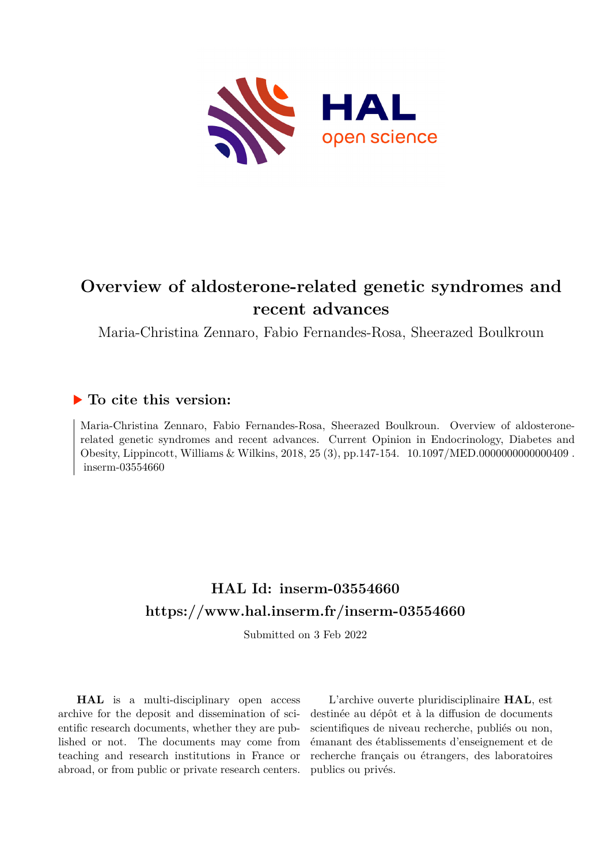

# **Overview of aldosterone-related genetic syndromes and recent advances**

Maria-Christina Zennaro, Fabio Fernandes-Rosa, Sheerazed Boulkroun

### **To cite this version:**

Maria-Christina Zennaro, Fabio Fernandes-Rosa, Sheerazed Boulkroun. Overview of aldosteronerelated genetic syndromes and recent advances. Current Opinion in Endocrinology, Diabetes and Obesity, Lippincott, Williams & Wilkins, 2018, 25 (3), pp.147-154.  $10.1097/MED.000000000000409$ .  $inserm-03554660$ 

# **HAL Id: inserm-03554660 <https://www.hal.inserm.fr/inserm-03554660>**

Submitted on 3 Feb 2022

**HAL** is a multi-disciplinary open access archive for the deposit and dissemination of scientific research documents, whether they are published or not. The documents may come from teaching and research institutions in France or abroad, or from public or private research centers.

L'archive ouverte pluridisciplinaire **HAL**, est destinée au dépôt et à la diffusion de documents scientifiques de niveau recherche, publiés ou non, émanant des établissements d'enseignement et de recherche français ou étrangers, des laboratoires publics ou privés.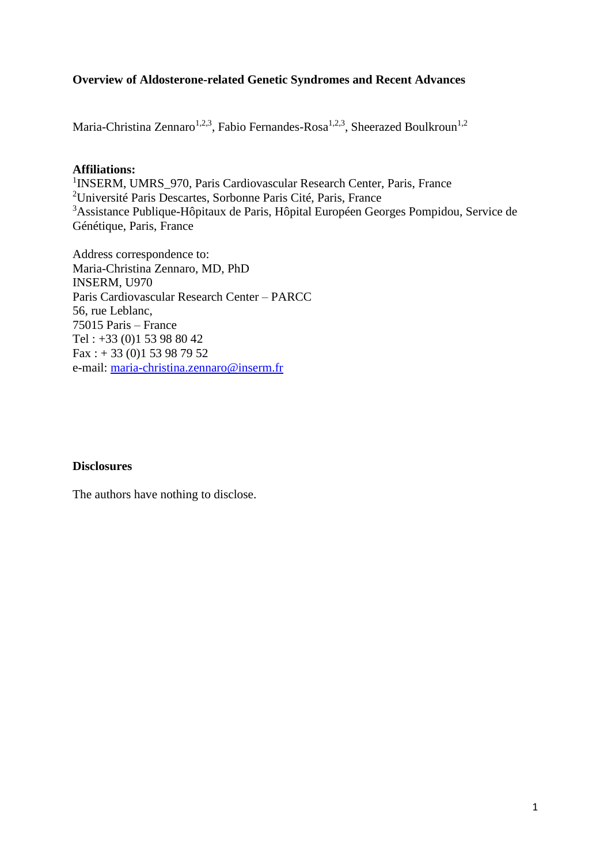### **Overview of Aldosterone-related Genetic Syndromes and Recent Advances**

Maria-Christina Zennaro<sup>1,2,3</sup>, Fabio Fernandes-Rosa<sup>1,2,3</sup>, Sheerazed Boulkroun<sup>1,2</sup>

#### **Affiliations:**

<sup>1</sup>INSERM, UMRS\_970, Paris Cardiovascular Research Center, Paris, France <sup>2</sup>Université Paris Descartes, Sorbonne Paris Cité, Paris, France <sup>3</sup>Assistance Publique-Hôpitaux de Paris, Hôpital Européen Georges Pompidou, Service de Génétique, Paris, France

Address correspondence to: Maria-Christina Zennaro, MD, PhD INSERM, U970 Paris Cardiovascular Research Center – PARCC 56, rue Leblanc, 75015 Paris – France Tel : +33 (0)1 53 98 80 42  $Fax: + 33(0)153987952$ e-mail: [maria-christina.zennaro@inserm.fr](mailto:maria-christina.zennaro@inserm.fr)

### **Disclosures**

The authors have nothing to disclose.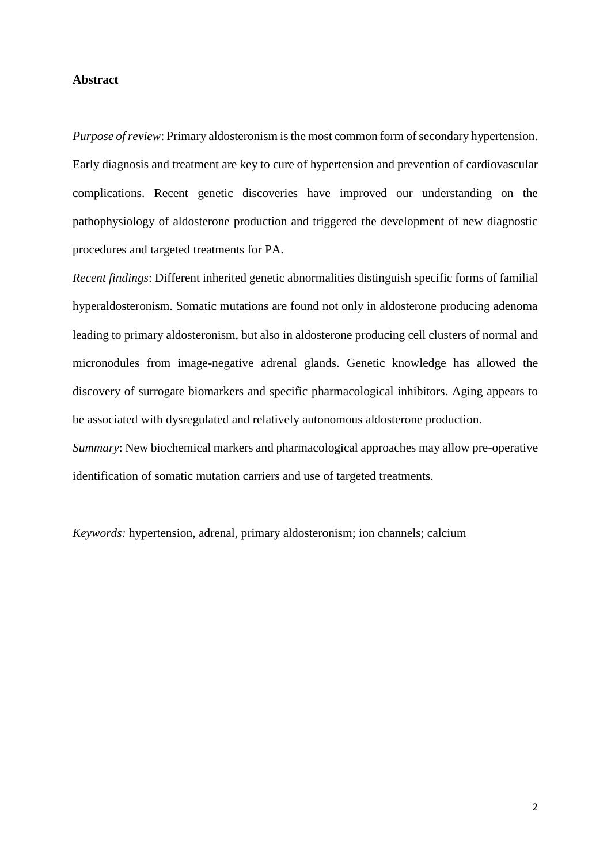#### **Abstract**

*Purpose of review*: Primary aldosteronism is the most common form of secondary hypertension. Early diagnosis and treatment are key to cure of hypertension and prevention of cardiovascular complications. Recent genetic discoveries have improved our understanding on the pathophysiology of aldosterone production and triggered the development of new diagnostic procedures and targeted treatments for PA.

*Recent findings*: Different inherited genetic abnormalities distinguish specific forms of familial hyperaldosteronism. Somatic mutations are found not only in aldosterone producing adenoma leading to primary aldosteronism, but also in aldosterone producing cell clusters of normal and micronodules from image-negative adrenal glands. Genetic knowledge has allowed the discovery of surrogate biomarkers and specific pharmacological inhibitors. Aging appears to be associated with dysregulated and relatively autonomous aldosterone production.

*Summary*: New biochemical markers and pharmacological approaches may allow pre-operative identification of somatic mutation carriers and use of targeted treatments.

*Keywords:* hypertension, adrenal, primary aldosteronism; ion channels; calcium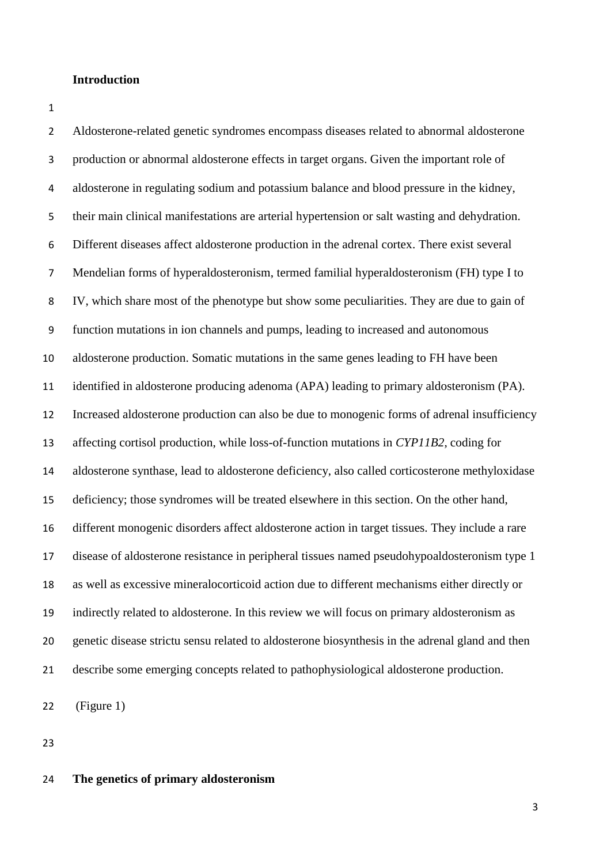#### **Introduction**

 Aldosterone-related genetic syndromes encompass diseases related to abnormal aldosterone production or abnormal aldosterone effects in target organs. Given the important role of aldosterone in regulating sodium and potassium balance and blood pressure in the kidney, their main clinical manifestations are arterial hypertension or salt wasting and dehydration. Different diseases affect aldosterone production in the adrenal cortex. There exist several Mendelian forms of hyperaldosteronism, termed familial hyperaldosteronism (FH) type I to IV, which share most of the phenotype but show some peculiarities. They are due to gain of function mutations in ion channels and pumps, leading to increased and autonomous aldosterone production. Somatic mutations in the same genes leading to FH have been identified in aldosterone producing adenoma (APA) leading to primary aldosteronism (PA). Increased aldosterone production can also be due to monogenic forms of adrenal insufficiency affecting cortisol production, while loss-of-function mutations in *CYP11B2*, coding for aldosterone synthase, lead to aldosterone deficiency, also called corticosterone methyloxidase deficiency; those syndromes will be treated elsewhere in this section. On the other hand, different monogenic disorders affect aldosterone action in target tissues. They include a rare disease of aldosterone resistance in peripheral tissues named pseudohypoaldosteronism type 1 as well as excessive mineralocorticoid action due to different mechanisms either directly or indirectly related to aldosterone. In this review we will focus on primary aldosteronism as genetic disease strictu sensu related to aldosterone biosynthesis in the adrenal gland and then describe some emerging concepts related to pathophysiological aldosterone production.

(Figure 1)

**The genetics of primary aldosteronism**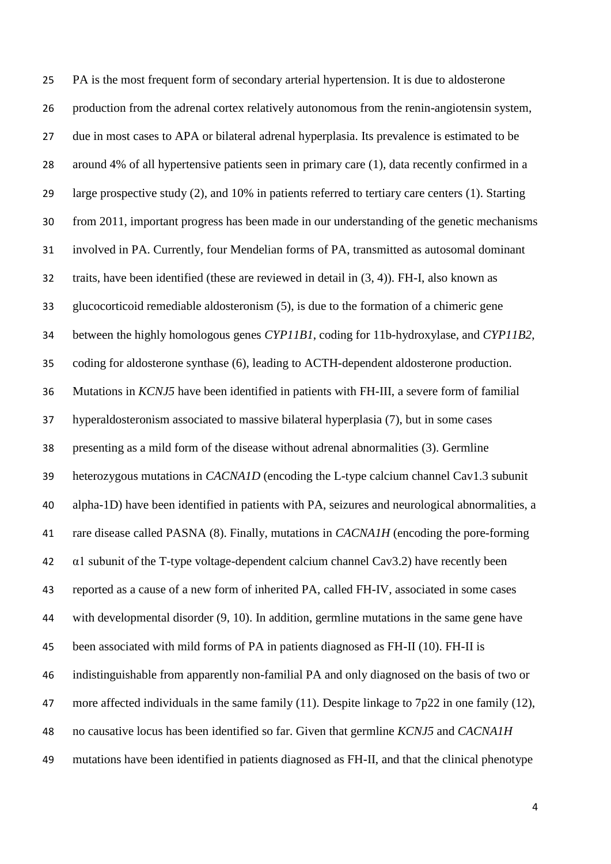PA is the most frequent form of secondary arterial hypertension. It is due to aldosterone production from the adrenal cortex relatively autonomous from the renin-angiotensin system, due in most cases to APA or bilateral adrenal hyperplasia. Its prevalence is estimated to be around 4% of all hypertensive patients seen in primary care [\(1\)](#page-17-0), data recently confirmed in a large prospective study [\(2\)](#page-17-1), and 10% in patients referred to tertiary care centers [\(1\)](#page-17-0). Starting from 2011, important progress has been made in our understanding of the genetic mechanisms involved in PA. Currently, four Mendelian forms of PA, transmitted as autosomal dominant traits, have been identified (these are reviewed in detail in [\(3,](#page-17-2) [4\)](#page-17-3)). FH-I, also known as glucocorticoid remediable aldosteronism [\(5\)](#page-17-4), is due to the formation of a chimeric gene between the highly homologous genes *CYP11B1*, coding for 11b-hydroxylase, and *CYP11B2*, coding for aldosterone synthase [\(6\)](#page-17-5), leading to ACTH-dependent aldosterone production. Mutations in *KCNJ5* have been identified in patients with FH-III, a severe form of familial hyperaldosteronism associated to massive bilateral hyperplasia [\(7\)](#page-17-6), but in some cases presenting as a mild form of the disease without adrenal abnormalities [\(3\)](#page-17-2). Germline heterozygous mutations in *CACNA1D* (encoding the L-type calcium channel Cav1.3 subunit alpha-1D) have been identified in patients with PA, seizures and neurological abnormalities, a rare disease called PASNA [\(8\)](#page-18-0). Finally, mutations in *CACNA1H* (encoding the pore-forming α1 subunit of the T-type voltage-dependent calcium channel Cav3.2) have recently been reported as a cause of a new form of inherited PA, called FH-IV, associated in some cases with developmental disorder [\(9,](#page-18-1) [10\)](#page-18-2). In addition, germline mutations in the same gene have been associated with mild forms of PA in patients diagnosed as FH-II [\(10\)](#page-18-2). FH-II is indistinguishable from apparently non-familial PA and only diagnosed on the basis of two or 47 more affected individuals in the same family [\(11\)](#page-18-3). Despite linkage to 7p22 in one family [\(12\)](#page-18-4), no causative locus has been identified so far. Given that germline *KCNJ5* and *CACNA1H* mutations have been identified in patients diagnosed as FH-II, and that the clinical phenotype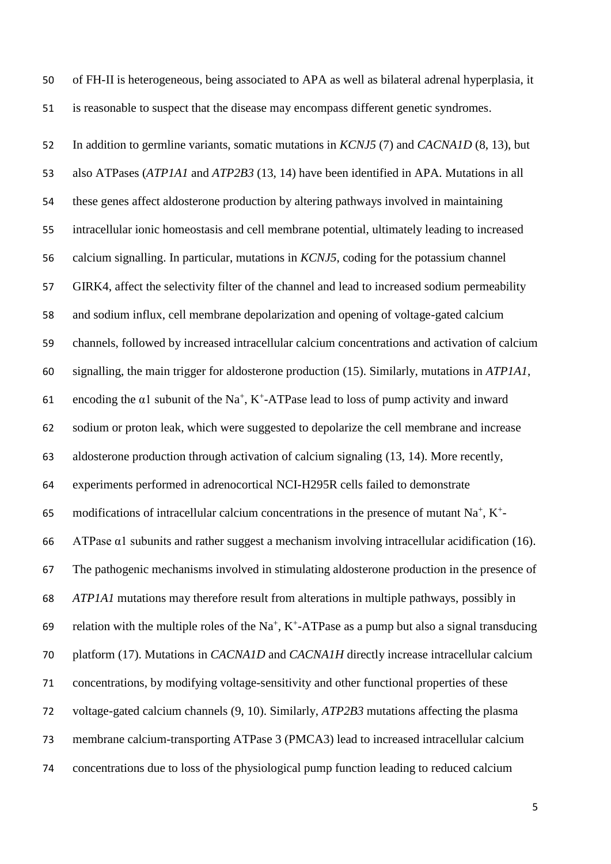of FH-II is heterogeneous, being associated to APA as well as bilateral adrenal hyperplasia, it is reasonable to suspect that the disease may encompass different genetic syndromes.

 In addition to germline variants, somatic mutations in *KCNJ5* [\(7\)](#page-17-6) and *CACNA1D* [\(8,](#page-18-0) [13\)](#page-18-5), but also ATPases (*ATP1A1* and *ATP2B3* [\(13,](#page-18-5) [14\)](#page-18-6) have been identified in APA. Mutations in all these genes affect aldosterone production by altering pathways involved in maintaining intracellular ionic homeostasis and cell membrane potential, ultimately leading to increased calcium signalling. In particular, mutations in *KCNJ5*, coding for the potassium channel GIRK4, affect the selectivity filter of the channel and lead to increased sodium permeability and sodium influx, cell membrane depolarization and opening of voltage-gated calcium channels, followed by increased intracellular calcium concentrations and activation of calcium signalling, the main trigger for aldosterone production [\(15\)](#page-19-0). Similarly, mutations in *ATP1A1*, 61 encoding the  $\alpha$ 1 subunit of the Na<sup>+</sup>, K<sup>+</sup>-ATPase lead to loss of pump activity and inward sodium or proton leak, which were suggested to depolarize the cell membrane and increase aldosterone production through activation of calcium signaling [\(13,](#page-18-5) [14\)](#page-18-6). More recently, experiments performed in adrenocortical NCI-H295R cells failed to demonstrate 65 modifications of intracellular calcium concentrations in the presence of mutant  $Na^+$ ,  $K^+$ -66 ATPase  $\alpha$ 1 subunits and rather suggest a mechanism involving intracellular acidification [\(16\)](#page-19-1). The pathogenic mechanisms involved in stimulating aldosterone production in the presence of *ATP1A1* mutations may therefore result from alterations in multiple pathways, possibly in 69 relation with the multiple roles of the Na<sup>+</sup>, K<sup>+</sup>-ATPase as a pump but also a signal transducing platform [\(17\)](#page-19-2). Mutations in *CACNA1D* and *CACNA1H* directly increase intracellular calcium concentrations, by modifying voltage-sensitivity and other functional properties of these voltage-gated calcium channels [\(9,](#page-18-1) [10\)](#page-18-2). Similarly, *ATP2B3* mutations affecting the plasma membrane calcium-transporting ATPase 3 (PMCA3) lead to increased intracellular calcium concentrations due to loss of the physiological pump function leading to reduced calcium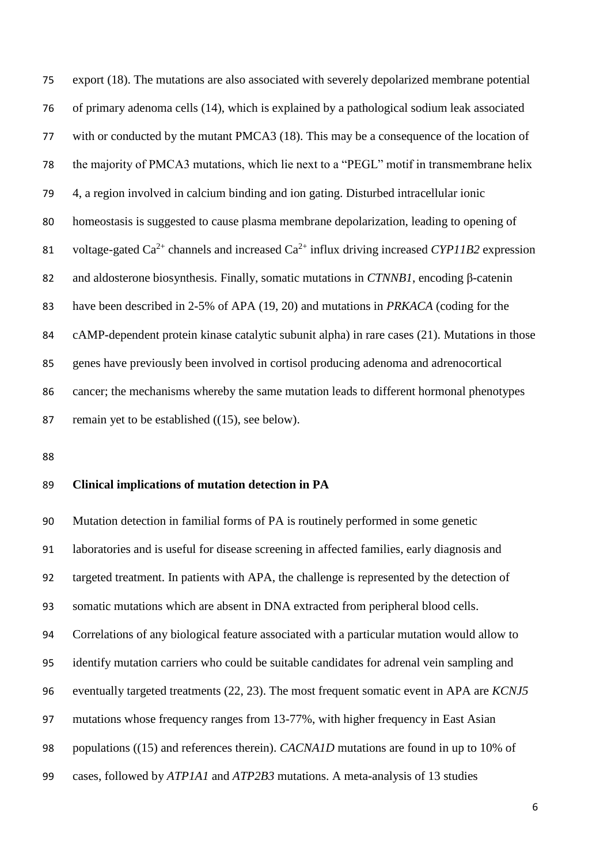export [\(18\)](#page-19-3). The mutations are also associated with severely depolarized membrane potential of primary adenoma cells [\(14\)](#page-18-6), which is explained by a pathological sodium leak associated with or conducted by the mutant PMCA3 [\(18\)](#page-19-3). This may be a consequence of the location of the majority of PMCA3 mutations, which lie next to a "PEGL" motif in transmembrane helix 4, a region involved in calcium binding and ion gating. Disturbed intracellular ionic homeostasis is suggested to cause plasma membrane depolarization, leading to opening of 81 voltage-gated  $Ca^{2+}$  channels and increased  $Ca^{2+}$  influx driving increased *CYP11B2* expression and aldosterone biosynthesis. Finally, somatic mutations in *CTNNB1*, encoding β-catenin have been described in 2-5% of APA [\(19,](#page-19-4) [20\)](#page-19-5) and mutations in *PRKACA* (coding for the cAMP-dependent protein kinase catalytic subunit alpha) in rare cases [\(21\)](#page-20-0). Mutations in those genes have previously been involved in cortisol producing adenoma and adrenocortical cancer; the mechanisms whereby the same mutation leads to different hormonal phenotypes 87 remain yet to be established ([\(15\)](#page-19-0), see below).

#### **Clinical implications of mutation detection in PA**

 Mutation detection in familial forms of PA is routinely performed in some genetic laboratories and is useful for disease screening in affected families, early diagnosis and targeted treatment. In patients with APA, the challenge is represented by the detection of somatic mutations which are absent in DNA extracted from peripheral blood cells. Correlations of any biological feature associated with a particular mutation would allow to identify mutation carriers who could be suitable candidates for adrenal vein sampling and eventually targeted treatments [\(22,](#page-20-1) [23\)](#page-20-2). The most frequent somatic event in APA are *KCNJ5* mutations whose frequency ranges from 13-77%, with higher frequency in East Asian populations ([\(15\)](#page-19-0) and references therein). *CACNA1D* mutations are found in up to 10% of cases, followed by *ATP1A1* and *ATP2B3* mutations. A meta-analysis of 13 studies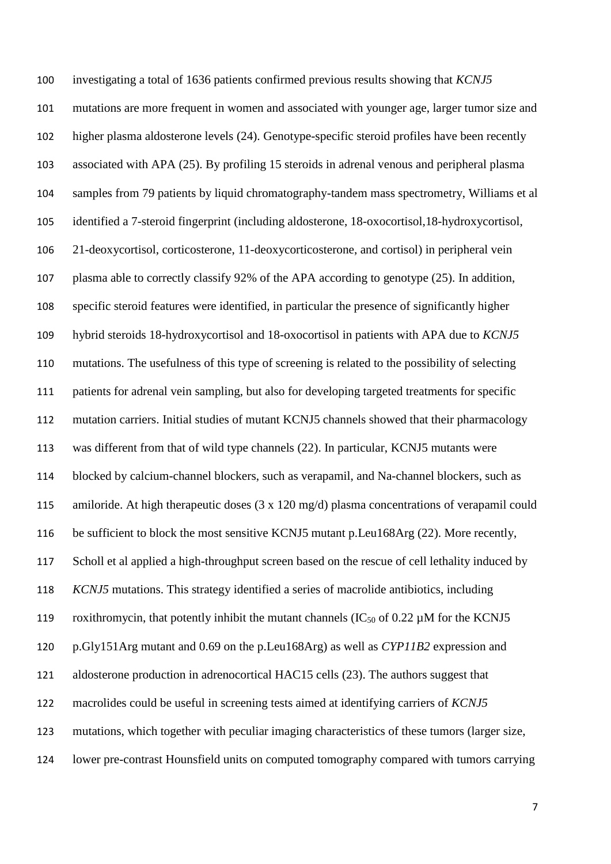investigating a total of 1636 patients confirmed previous results showing that *KCNJ5* mutations are more frequent in women and associated with younger age, larger tumor size and higher plasma aldosterone levels [\(24\)](#page-20-3). Genotype-specific steroid profiles have been recently associated with APA [\(25\)](#page-20-4). By profiling 15 steroids in adrenal venous and peripheral plasma samples from 79 patients by liquid chromatography-tandem mass spectrometry, Williams et al identified a 7-steroid fingerprint (including aldosterone, 18-oxocortisol,18-hydroxycortisol, 21-deoxycortisol, corticosterone, 11-deoxycorticosterone, and cortisol) in peripheral vein plasma able to correctly classify 92% of the APA according to genotype [\(25\)](#page-20-4). In addition, specific steroid features were identified, in particular the presence of significantly higher hybrid steroids 18-hydroxycortisol and 18-oxocortisol in patients with APA due to *KCNJ5* mutations. The usefulness of this type of screening is related to the possibility of selecting patients for adrenal vein sampling, but also for developing targeted treatments for specific mutation carriers. Initial studies of mutant KCNJ5 channels showed that their pharmacology was different from that of wild type channels [\(22\)](#page-20-1). In particular, KCNJ5 mutants were blocked by calcium-channel blockers, such as verapamil, and Na-channel blockers, such as amiloride. At high therapeutic doses (3 x 120 mg/d) plasma concentrations of verapamil could be sufficient to block the most sensitive KCNJ5 mutant p.Leu168Arg [\(22\)](#page-20-1). More recently, Scholl et al applied a high-throughput screen based on the rescue of cell lethality induced by *KCNJ5* mutations. This strategy identified a series of macrolide antibiotics, including 119 roxithromycin, that potently inhibit the mutant channels  $(IC_{50}$  of 0.22  $\mu$ M for the KCNJ5 p.Gly151Arg mutant and 0.69 on the p.Leu168Arg) as well as *CYP11B2* expression and aldosterone production in adrenocortical HAC15 cells [\(23\)](#page-20-2). The authors suggest that macrolides could be useful in screening tests aimed at identifying carriers of *KCNJ5* mutations, which together with peculiar imaging characteristics of these tumors (larger size, lower pre-contrast Hounsfield units on computed tomography compared with tumors carrying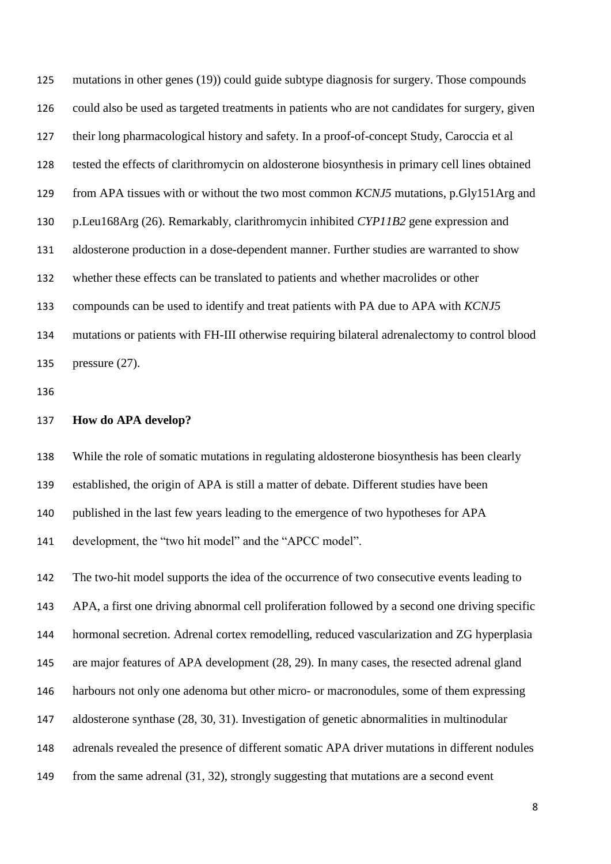mutations in other genes [\(19\)](#page-19-4)) could guide subtype diagnosis for surgery. Those compounds could also be used as targeted treatments in patients who are not candidates for surgery, given their long pharmacological history and safety. In a proof-of-concept Study, Caroccia et al tested the effects of clarithromycin on aldosterone biosynthesis in primary cell lines obtained from APA tissues with or without the two most common *KCNJ5* mutations, p.Gly151Arg and p.Leu168Arg [\(26\)](#page-20-5). Remarkably, clarithromycin inhibited *CYP11B2* gene expression and aldosterone production in a dose-dependent manner. Further studies are warranted to show whether these effects can be translated to patients and whether macrolides or other compounds can be used to identify and treat patients with PA due to APA with *KCNJ5* mutations or patients with FH-III otherwise requiring bilateral adrenalectomy to control blood pressure [\(27\)](#page-21-0).

#### **How do APA develop?**

 While the role of somatic mutations in regulating aldosterone biosynthesis has been clearly established, the origin of APA is still a matter of debate. Different studies have been published in the last few years leading to the emergence of two hypotheses for APA development, the "two hit model" and the "APCC model".

 The two-hit model supports the idea of the occurrence of two consecutive events leading to APA, a first one driving abnormal cell proliferation followed by a second one driving specific hormonal secretion. Adrenal cortex remodelling, reduced vascularization and ZG hyperplasia are major features of APA development [\(28,](#page-21-1) [29\)](#page-21-2). In many cases, the resected adrenal gland harbours not only one adenoma but other micro- or macronodules, some of them expressing aldosterone synthase [\(28,](#page-21-1) [30,](#page-21-3) [31\)](#page-21-4). Investigation of genetic abnormalities in multinodular adrenals revealed the presence of different somatic APA driver mutations in different nodules from the same adrenal [\(31,](#page-21-4) [32\)](#page-21-5), strongly suggesting that mutations are a second event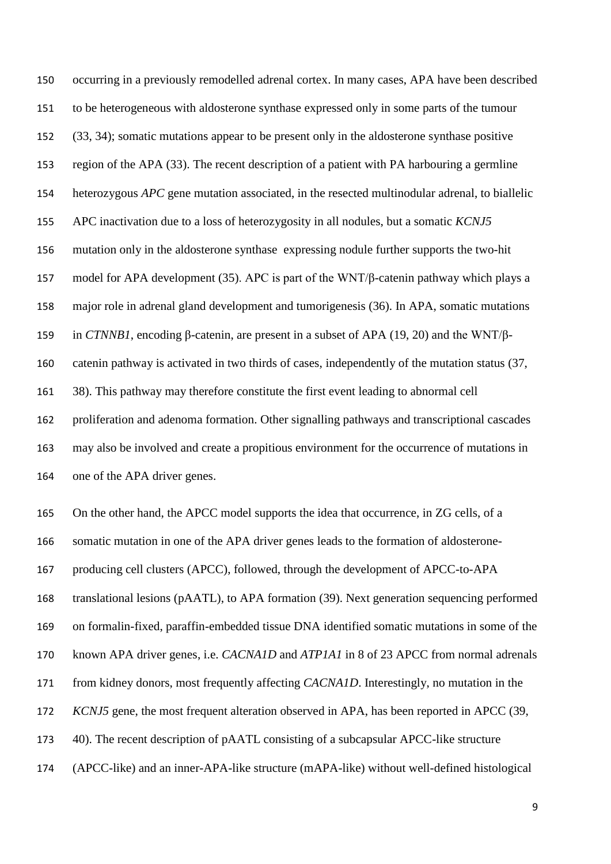occurring in a previously remodelled adrenal cortex. In many cases, APA have been described to be heterogeneous with aldosterone synthase expressed only in some parts of the tumour [\(33,](#page-22-0) [34\)](#page-22-1); somatic mutations appear to be present only in the aldosterone synthase positive region of the APA [\(33\)](#page-22-0). The recent description of a patient with PA harbouring a germline heterozygous *APC* gene mutation associated, in the resected multinodular adrenal, to biallelic APC inactivation due to a loss of heterozygosity in all nodules, but a somatic *KCNJ5* mutation only in the aldosterone synthase expressing nodule further supports the two-hit model for APA development [\(35\)](#page-22-2). APC is part of the WNT/β-catenin pathway which plays a major role in adrenal gland development and tumorigenesis [\(36\)](#page-22-3). In APA, somatic mutations in *CTNNB1*, encoding β-catenin, are present in a subset of APA [\(19,](#page-19-4) [20\)](#page-19-5) and the WNT/β- catenin pathway is activated in two thirds of cases, independently of the mutation status [\(37,](#page-22-4) [38\)](#page-22-5). This pathway may therefore constitute the first event leading to abnormal cell proliferation and adenoma formation. Other signalling pathways and transcriptional cascades may also be involved and create a propitious environment for the occurrence of mutations in one of the APA driver genes.

On the other hand, the APCC model supports the idea that occurrence, in ZG cells, of a

somatic mutation in one of the APA driver genes leads to the formation of aldosterone-

producing cell clusters (APCC), followed, through the development of APCC-to-APA

translational lesions (pAATL), to APA formation [\(39\)](#page-22-6). Next generation sequencing performed

on formalin-fixed, paraffin-embedded tissue DNA identified somatic mutations in some of the

known APA driver genes, i.e. *CACNA1D* and *ATP1A1* in 8 of 23 APCC from normal adrenals

from kidney donors, most frequently affecting *CACNA1D*. Interestingly, no mutation in the

- *KCNJ5* gene, the most frequent alteration observed in APA, has been reported in APCC [\(39,](#page-22-6)
- [40\)](#page-23-0). The recent description of pAATL consisting of a subcapsular APCC-like structure
- (APCC-like) and an inner-APA-like structure (mAPA-like) without well-defined histological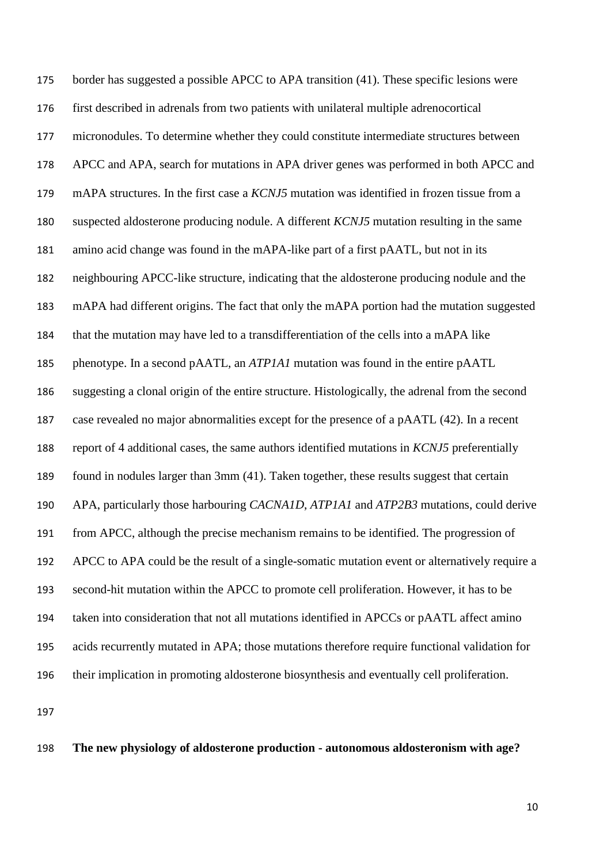border has suggested a possible APCC to APA transition [\(41\)](#page-23-1). These specific lesions were first described in adrenals from two patients with unilateral multiple adrenocortical micronodules. To determine whether they could constitute intermediate structures between APCC and APA, search for mutations in APA driver genes was performed in both APCC and mAPA structures. In the first case a *KCNJ5* mutation was identified in frozen tissue from a suspected aldosterone producing nodule. A different *KCNJ5* mutation resulting in the same amino acid change was found in the mAPA-like part of a first pAATL, but not in its neighbouring APCC-like structure, indicating that the aldosterone producing nodule and the mAPA had different origins. The fact that only the mAPA portion had the mutation suggested that the mutation may have led to a transdifferentiation of the cells into a mAPA like phenotype. In a second pAATL, an *ATP1A1* mutation was found in the entire pAATL suggesting a clonal origin of the entire structure. Histologically, the adrenal from the second case revealed no major abnormalities except for the presence of a pAATL [\(42\)](#page-23-2). In a recent report of 4 additional cases, the same authors identified mutations in *KCNJ5* preferentially found in nodules larger than 3mm [\(41\)](#page-23-1). Taken together, these results suggest that certain APA, particularly those harbouring *CACNA1D*, *ATP1A1* and *ATP2B3* mutations, could derive from APCC, although the precise mechanism remains to be identified. The progression of APCC to APA could be the result of a single-somatic mutation event or alternatively require a second-hit mutation within the APCC to promote cell proliferation. However, it has to be taken into consideration that not all mutations identified in APCCs or pAATL affect amino acids recurrently mutated in APA; those mutations therefore require functional validation for their implication in promoting aldosterone biosynthesis and eventually cell proliferation.

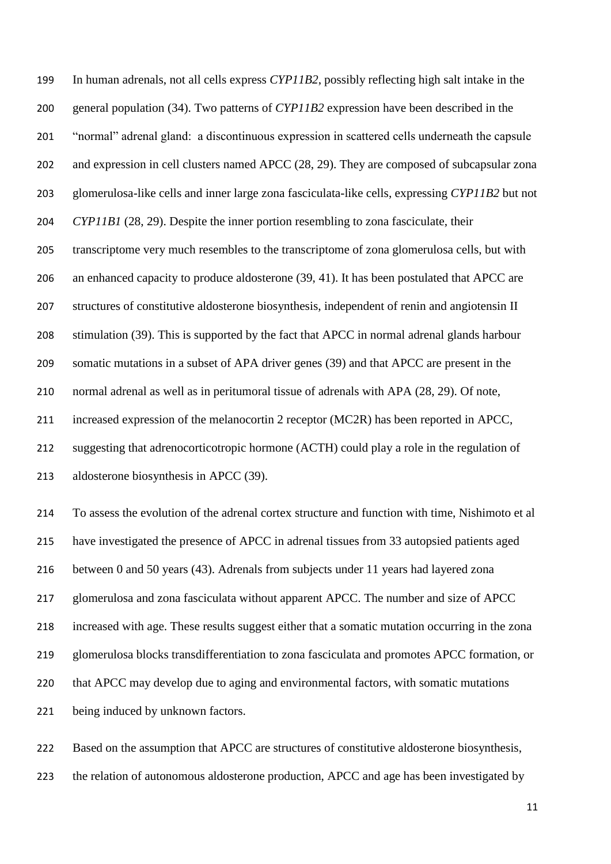In human adrenals, not all cells express *CYP11B2*, possibly reflecting high salt intake in the general population [\(34\)](#page-22-1). Two patterns of *CYP11B2* expression have been described in the "normal" adrenal gland: a discontinuous expression in scattered cells underneath the capsule and expression in cell clusters named APCC [\(28,](#page-21-1) [29\)](#page-21-2). They are composed of subcapsular zona glomerulosa-like cells and inner large zona fasciculata-like cells, expressing *CYP11B2* but not *CYP11B1* [\(28,](#page-21-1) [29\)](#page-21-2). Despite the inner portion resembling to zona fasciculate, their transcriptome very much resembles to the transcriptome of zona glomerulosa cells, but with 206 an enhanced capacity to produce aldosterone [\(39,](#page-22-6) [41\)](#page-23-1). It has been postulated that APCC are structures of constitutive aldosterone biosynthesis, independent of renin and angiotensin II stimulation [\(39\)](#page-22-6). This is supported by the fact that APCC in normal adrenal glands harbour somatic mutations in a subset of APA driver genes [\(39\)](#page-22-6) and that APCC are present in the normal adrenal as well as in peritumoral tissue of adrenals with APA [\(28,](#page-21-1) [29\)](#page-21-2). Of note, increased expression of the melanocortin 2 receptor (MC2R) has been reported in APCC, suggesting that adrenocorticotropic hormone (ACTH) could play a role in the regulation of aldosterone biosynthesis in APCC [\(39\)](#page-22-6).

 To assess the evolution of the adrenal cortex structure and function with time, Nishimoto et al have investigated the presence of APCC in adrenal tissues from 33 autopsied patients aged between 0 and 50 years [\(43\)](#page-23-3). Adrenals from subjects under 11 years had layered zona glomerulosa and zona fasciculata without apparent APCC. The number and size of APCC increased with age. These results suggest either that a somatic mutation occurring in the zona glomerulosa blocks transdifferentiation to zona fasciculata and promotes APCC formation, or that APCC may develop due to aging and environmental factors, with somatic mutations being induced by unknown factors.

 Based on the assumption that APCC are structures of constitutive aldosterone biosynthesis, the relation of autonomous aldosterone production, APCC and age has been investigated by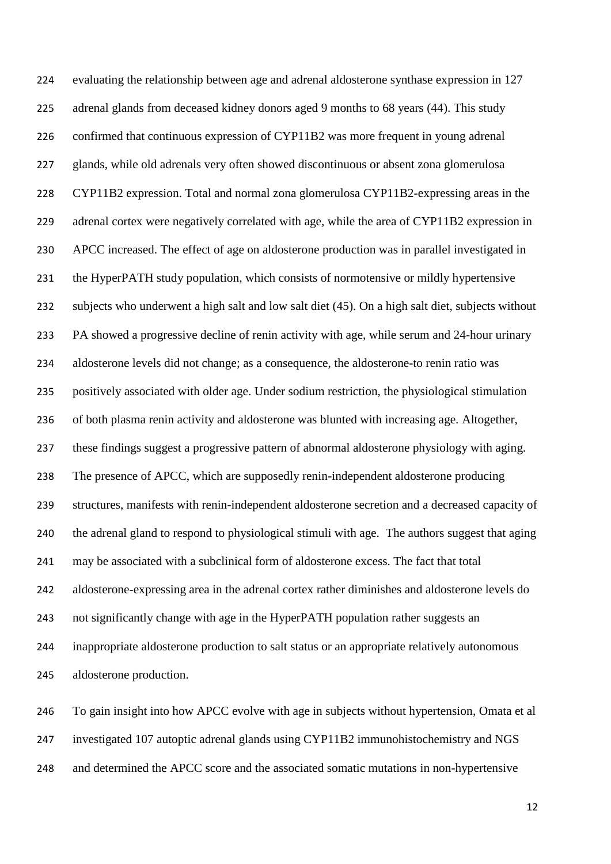evaluating the relationship between age and adrenal aldosterone synthase expression in 127 adrenal glands from deceased kidney donors aged 9 months to 68 years [\(44\)](#page-23-4). This study confirmed that continuous expression of CYP11B2 was more frequent in young adrenal glands, while old adrenals very often showed discontinuous or absent zona glomerulosa CYP11B2 expression. Total and normal zona glomerulosa CYP11B2-expressing areas in the 229 adrenal cortex were negatively correlated with age, while the area of CYP11B2 expression in APCC increased. The effect of age on aldosterone production was in parallel investigated in the HyperPATH study population, which consists of normotensive or mildly hypertensive subjects who underwent a high salt and low salt diet [\(45\)](#page-23-5). On a high salt diet, subjects without PA showed a progressive decline of renin activity with age, while serum and 24-hour urinary aldosterone levels did not change; as a consequence, the aldosterone-to renin ratio was positively associated with older age. Under sodium restriction, the physiological stimulation of both plasma renin activity and aldosterone was blunted with increasing age. Altogether, these findings suggest a progressive pattern of abnormal aldosterone physiology with aging. The presence of APCC, which are supposedly renin-independent aldosterone producing structures, manifests with renin-independent aldosterone secretion and a decreased capacity of the adrenal gland to respond to physiological stimuli with age. The authors suggest that aging may be associated with a subclinical form of aldosterone excess. The fact that total aldosterone-expressing area in the adrenal cortex rather diminishes and aldosterone levels do not significantly change with age in the HyperPATH population rather suggests an inappropriate aldosterone production to salt status or an appropriate relatively autonomous aldosterone production.

 To gain insight into how APCC evolve with age in subjects without hypertension, Omata et al investigated 107 autoptic adrenal glands using CYP11B2 immunohistochemistry and NGS and determined the APCC score and the associated somatic mutations in non-hypertensive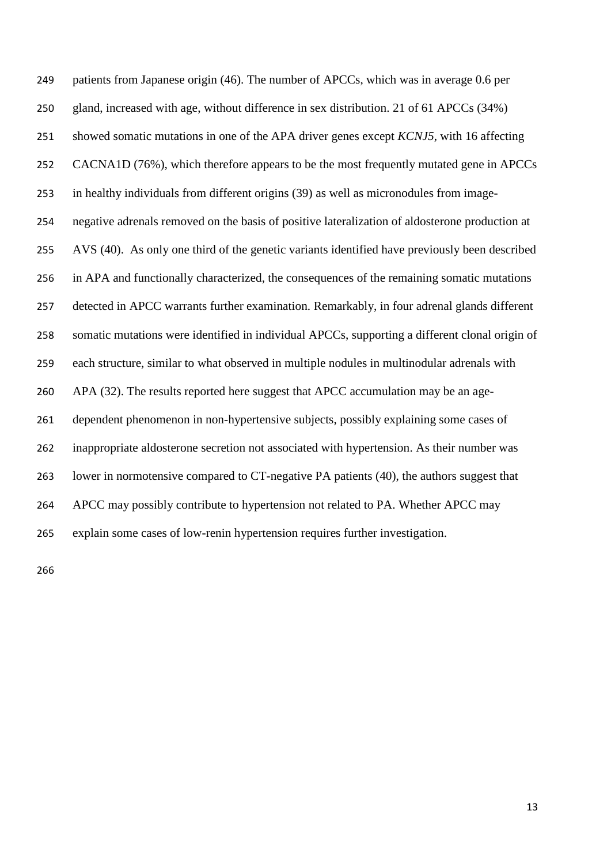patients from Japanese origin [\(46\)](#page-24-0). The number of APCCs, which was in average 0.6 per gland, increased with age, without difference in sex distribution. 21 of 61 APCCs (34%) showed somatic mutations in one of the APA driver genes except *KCNJ5*, with 16 affecting CACNA1D (76%), which therefore appears to be the most frequently mutated gene in APCCs in healthy individuals from different origins [\(39\)](#page-22-6) as well as micronodules from image- negative adrenals removed on the basis of positive lateralization of aldosterone production at AVS [\(40\)](#page-23-0). As only one third of the genetic variants identified have previously been described in APA and functionally characterized, the consequences of the remaining somatic mutations detected in APCC warrants further examination. Remarkably, in four adrenal glands different somatic mutations were identified in individual APCCs, supporting a different clonal origin of each structure, similar to what observed in multiple nodules in multinodular adrenals with APA [\(32\)](#page-21-5). The results reported here suggest that APCC accumulation may be an age- dependent phenomenon in non-hypertensive subjects, possibly explaining some cases of inappropriate aldosterone secretion not associated with hypertension. As their number was lower in normotensive compared to CT-negative PA patients [\(40\)](#page-23-0), the authors suggest that APCC may possibly contribute to hypertension not related to PA. Whether APCC may explain some cases of low-renin hypertension requires further investigation.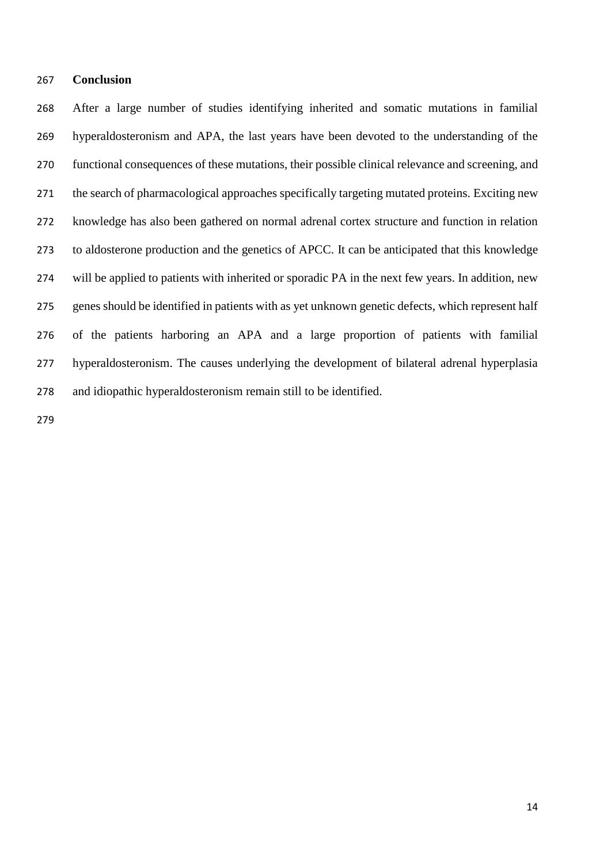#### **Conclusion**

 After a large number of studies identifying inherited and somatic mutations in familial hyperaldosteronism and APA, the last years have been devoted to the understanding of the functional consequences of these mutations, their possible clinical relevance and screening, and the search of pharmacological approaches specifically targeting mutated proteins. Exciting new knowledge has also been gathered on normal adrenal cortex structure and function in relation to aldosterone production and the genetics of APCC. It can be anticipated that this knowledge will be applied to patients with inherited or sporadic PA in the next few years. In addition, new genes should be identified in patients with as yet unknown genetic defects, which represent half of the patients harboring an APA and a large proportion of patients with familial hyperaldosteronism. The causes underlying the development of bilateral adrenal hyperplasia and idiopathic hyperaldosteronism remain still to be identified.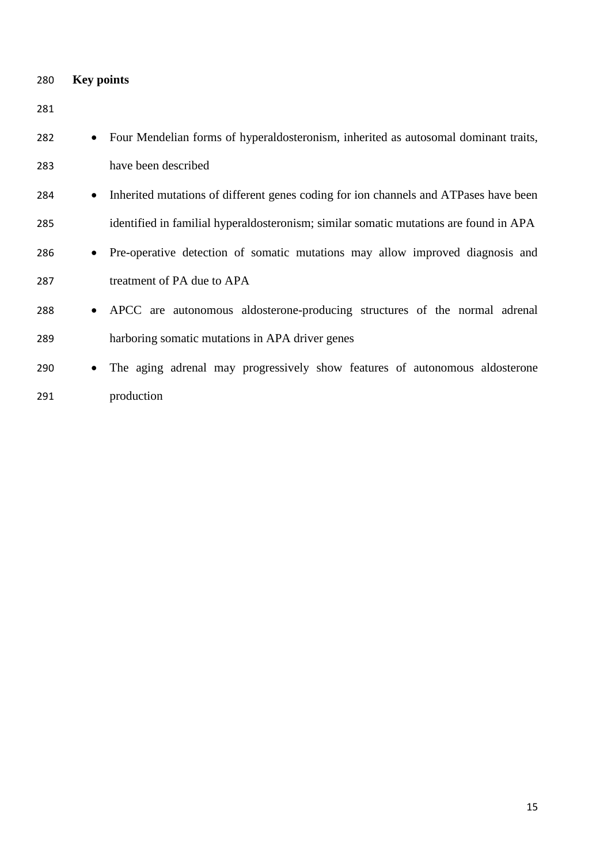| 280 | <b>Key points</b>                                                                                 |  |  |
|-----|---------------------------------------------------------------------------------------------------|--|--|
| 281 |                                                                                                   |  |  |
| 282 | Four Mendelian forms of hyperaldosteronism, inherited as autosomal dominant traits,<br>$\bullet$  |  |  |
| 283 | have been described                                                                               |  |  |
| 284 | Inherited mutations of different genes coding for ion channels and ATPases have been<br>$\bullet$ |  |  |
| 285 | identified in familial hyperaldosteronism; similar somatic mutations are found in APA             |  |  |
| 286 | Pre-operative detection of somatic mutations may allow improved diagnosis and<br>٠                |  |  |
| 287 | treatment of PA due to APA                                                                        |  |  |
| 288 | APCC are autonomous aldosterone-producing structures of the normal adrenal<br>$\bullet$           |  |  |
| 289 | harboring somatic mutations in APA driver genes                                                   |  |  |
| 290 | The aging adrenal may progressively show features of autonomous aldosterone<br>$\bullet$          |  |  |
| 291 | production                                                                                        |  |  |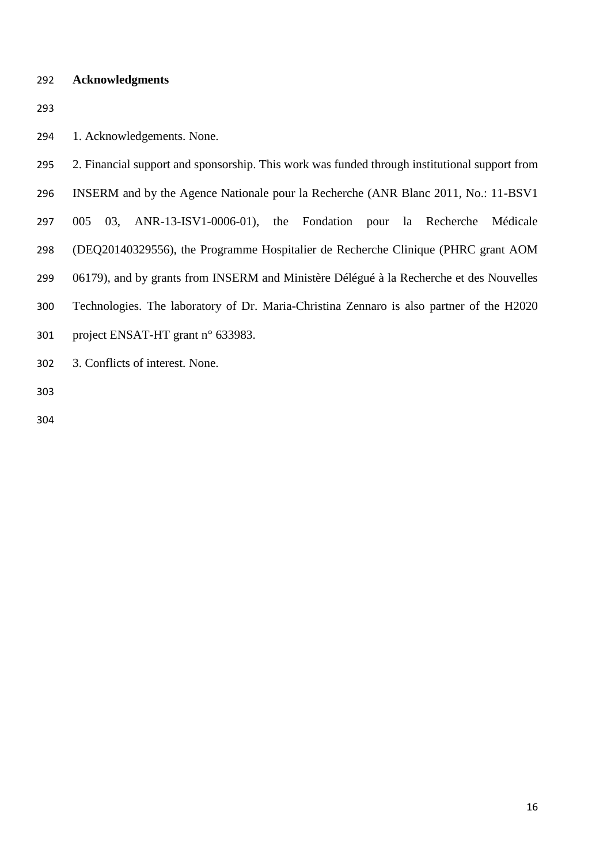## **Acknowledgments**

1. Acknowledgements. None.

| 295 | 2. Financial support and sponsorship. This work was funded through institutional support from |
|-----|-----------------------------------------------------------------------------------------------|
| 296 | INSERM and by the Agence Nationale pour la Recherche (ANR Blanc 2011, No.: 11-BSV1)           |
| 297 | 03, ANR-13-ISV1-0006-01), the Fondation<br>pour la Recherche<br>005<br>Médicale               |
| 298 | (DEQ20140329556), the Programme Hospitalier de Recherche Clinique (PHRC grant AOM             |
| 299 | 06179), and by grants from INSERM and Ministère Délégué à la Recherche et des Nouvelles       |
| 300 | Technologies. The laboratory of Dr. Maria-Christina Zennaro is also partner of the H2020      |
| 301 | project ENSAT-HT grant n° 633983.                                                             |
|     |                                                                                               |

3. Conflicts of interest. None.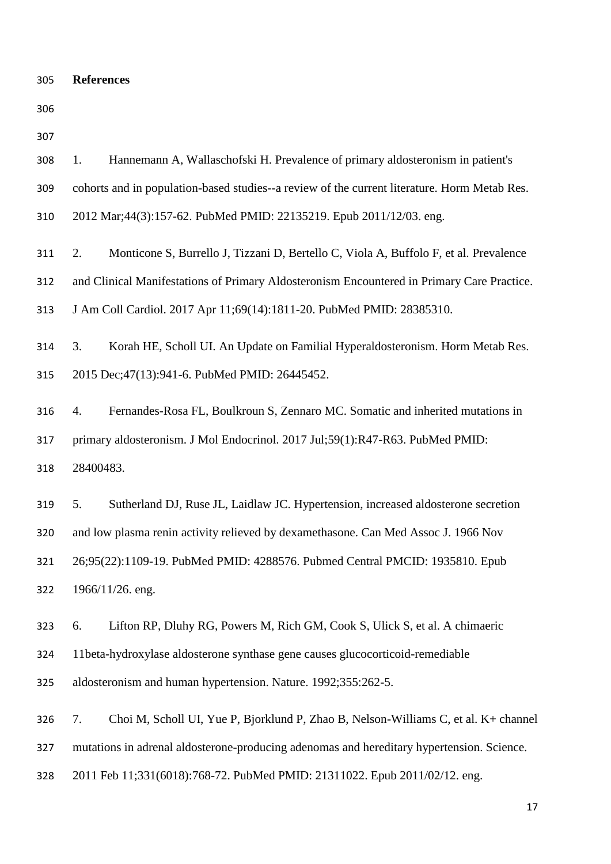| <b>References</b><br>305 |  |
|--------------------------|--|
|--------------------------|--|

<span id="page-17-6"></span><span id="page-17-5"></span><span id="page-17-4"></span><span id="page-17-3"></span><span id="page-17-2"></span><span id="page-17-1"></span><span id="page-17-0"></span>

| 307 |                                                                                              |  |  |  |
|-----|----------------------------------------------------------------------------------------------|--|--|--|
| 308 | Hannemann A, Wallaschofski H. Prevalence of primary aldosteronism in patient's<br>1.         |  |  |  |
| 309 | cohorts and in population-based studies--a review of the current literature. Horm Metab Res. |  |  |  |
| 310 | 2012 Mar;44(3):157-62. PubMed PMID: 22135219. Epub 2011/12/03. eng.                          |  |  |  |
| 311 | Monticone S, Burrello J, Tizzani D, Bertello C, Viola A, Buffolo F, et al. Prevalence<br>2.  |  |  |  |
| 312 | and Clinical Manifestations of Primary Aldosteronism Encountered in Primary Care Practice.   |  |  |  |
| 313 | J Am Coll Cardiol. 2017 Apr 11;69(14):1811-20. PubMed PMID: 28385310.                        |  |  |  |
| 314 | 3.<br>Korah HE, Scholl UI. An Update on Familial Hyperaldosteronism. Horm Metab Res.         |  |  |  |
| 315 | 2015 Dec; 47(13): 941-6. PubMed PMID: 26445452.                                              |  |  |  |
| 316 | Fernandes-Rosa FL, Boulkroun S, Zennaro MC. Somatic and inherited mutations in<br>4.         |  |  |  |
| 317 | primary aldosteronism. J Mol Endocrinol. 2017 Jul;59(1):R47-R63. PubMed PMID:                |  |  |  |
| 318 | 28400483.                                                                                    |  |  |  |
| 319 | Sutherland DJ, Ruse JL, Laidlaw JC. Hypertension, increased aldosterone secretion<br>5.      |  |  |  |
| 320 | and low plasma renin activity relieved by dexamethasone. Can Med Assoc J. 1966 Nov           |  |  |  |
| 321 | 26;95(22):1109-19. PubMed PMID: 4288576. Pubmed Central PMCID: 1935810. Epub                 |  |  |  |
| 322 | 1966/11/26. eng.                                                                             |  |  |  |
| 323 | Lifton RP, Dluhy RG, Powers M, Rich GM, Cook S, Ulick S, et al. A chimaeric<br>6.            |  |  |  |
| 324 | 11beta-hydroxylase aldosterone synthase gene causes glucocorticoid-remediable                |  |  |  |
| 325 | aldosteronism and human hypertension. Nature. 1992;355:262-5.                                |  |  |  |
| 326 | Choi M, Scholl UI, Yue P, Bjorklund P, Zhao B, Nelson-Williams C, et al. K+ channel<br>7.    |  |  |  |
| 327 | mutations in adrenal aldosterone-producing adenomas and hereditary hypertension. Science.    |  |  |  |
| 328 | 2011 Feb 11;331(6018):768-72. PubMed PMID: 21311022. Epub 2011/02/12. eng.                   |  |  |  |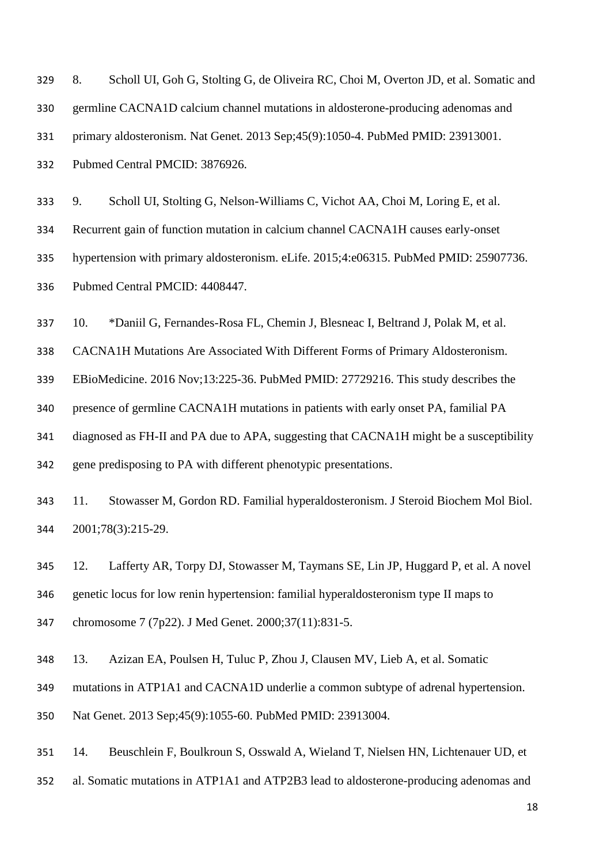<span id="page-18-0"></span>

| 329 | 8.                                                                               | Scholl UI, Goh G, Stolting G, de Oliveira RC, Choi M, Overton JD, et al. Somatic and |  |  |  |
|-----|----------------------------------------------------------------------------------|--------------------------------------------------------------------------------------|--|--|--|
| 330 | germline CACNA1D calcium channel mutations in aldosterone-producing adenomas and |                                                                                      |  |  |  |
| 331 | primary aldosteronism. Nat Genet. 2013 Sep; 45(9):1050-4. PubMed PMID: 23913001. |                                                                                      |  |  |  |
| 332 | Pubmed Central PMCID: 3876926.                                                   |                                                                                      |  |  |  |
| 333 | 9.                                                                               | Scholl UI, Stolting G, Nelson-Williams C, Vichot AA, Choi M, Loring E, et al.        |  |  |  |

<span id="page-18-1"></span>Recurrent gain of function mutation in calcium channel CACNA1H causes early-onset

hypertension with primary aldosteronism. eLife. 2015;4:e06315. PubMed PMID: 25907736.

Pubmed Central PMCID: 4408447.

<span id="page-18-2"></span>10. \*Daniil G, Fernandes-Rosa FL, Chemin J, Blesneac I, Beltrand J, Polak M, et al.

CACNA1H Mutations Are Associated With Different Forms of Primary Aldosteronism.

EBioMedicine. 2016 Nov;13:225-36. PubMed PMID: 27729216. This study describes the

presence of germline CACNA1H mutations in patients with early onset PA, familial PA

diagnosed as FH-II and PA due to APA, suggesting that CACNA1H might be a susceptibility

gene predisposing to PA with different phenotypic presentations.

<span id="page-18-3"></span> 11. Stowasser M, Gordon RD. Familial hyperaldosteronism. J Steroid Biochem Mol Biol. 2001;78(3):215-29.

<span id="page-18-4"></span> 12. Lafferty AR, Torpy DJ, Stowasser M, Taymans SE, Lin JP, Huggard P, et al. A novel genetic locus for low renin hypertension: familial hyperaldosteronism type II maps to chromosome 7 (7p22). J Med Genet. 2000;37(11):831-5.

<span id="page-18-5"></span>13. Azizan EA, Poulsen H, Tuluc P, Zhou J, Clausen MV, Lieb A, et al. Somatic

mutations in ATP1A1 and CACNA1D underlie a common subtype of adrenal hypertension.

Nat Genet. 2013 Sep;45(9):1055-60. PubMed PMID: 23913004.

<span id="page-18-6"></span>14. Beuschlein F, Boulkroun S, Osswald A, Wieland T, Nielsen HN, Lichtenauer UD, et

al. Somatic mutations in ATP1A1 and ATP2B3 lead to aldosterone-producing adenomas and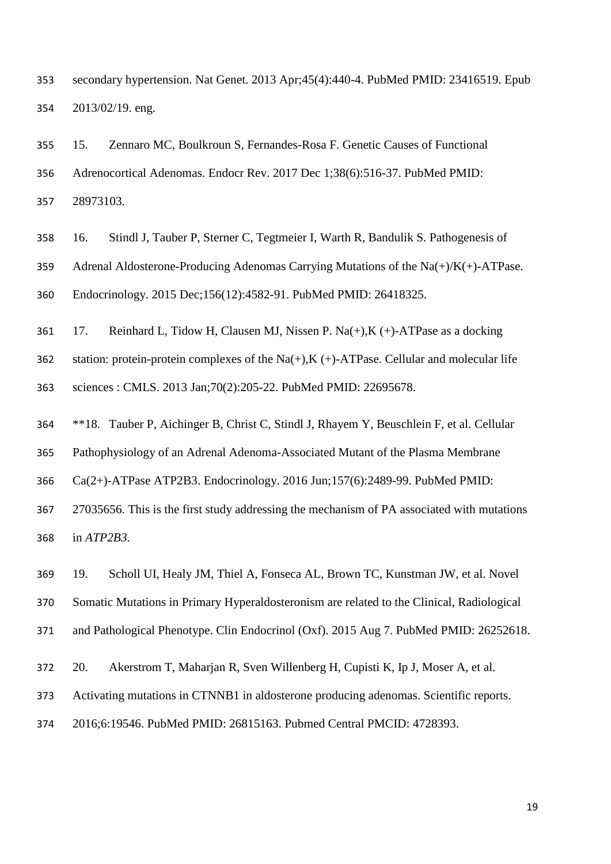secondary hypertension. Nat Genet. 2013 Apr;45(4):440-4. PubMed PMID: 23416519. Epub 2013/02/19. eng.

<span id="page-19-0"></span> 15. Zennaro MC, Boulkroun S, Fernandes-Rosa F. Genetic Causes of Functional Adrenocortical Adenomas. Endocr Rev. 2017 Dec 1;38(6):516-37. PubMed PMID: 28973103.

<span id="page-19-1"></span> 16. Stindl J, Tauber P, Sterner C, Tegtmeier I, Warth R, Bandulik S. Pathogenesis of 359 Adrenal Aldosterone-Producing Adenomas Carrying Mutations of the  $Na(+)/K(+)$ -ATPase. Endocrinology. 2015 Dec;156(12):4582-91. PubMed PMID: 26418325.

<span id="page-19-2"></span>17. Reinhard L, Tidow H, Clausen MJ, Nissen P. Na(+),K (+)-ATPase as a docking

362 station: protein-protein complexes of the Na(+), K (+)-ATPase. Cellular and molecular life sciences : CMLS. 2013 Jan;70(2):205-22. PubMed PMID: 22695678.

<span id="page-19-3"></span>\*\*18. Tauber P, Aichinger B, Christ C, Stindl J, Rhayem Y, Beuschlein F, et al. Cellular

Pathophysiology of an Adrenal Adenoma-Associated Mutant of the Plasma Membrane

Ca(2+)-ATPase ATP2B3. Endocrinology. 2016 Jun;157(6):2489-99. PubMed PMID:

 27035656. This is the first study addressing the mechanism of PA associated with mutations in *ATP2B3*.

<span id="page-19-4"></span>19. Scholl UI, Healy JM, Thiel A, Fonseca AL, Brown TC, Kunstman JW, et al. Novel

Somatic Mutations in Primary Hyperaldosteronism are related to the Clinical, Radiological

and Pathological Phenotype. Clin Endocrinol (Oxf). 2015 Aug 7. PubMed PMID: 26252618.

<span id="page-19-5"></span>20. Akerstrom T, Maharjan R, Sven Willenberg H, Cupisti K, Ip J, Moser A, et al.

Activating mutations in CTNNB1 in aldosterone producing adenomas. Scientific reports.

2016;6:19546. PubMed PMID: 26815163. Pubmed Central PMCID: 4728393.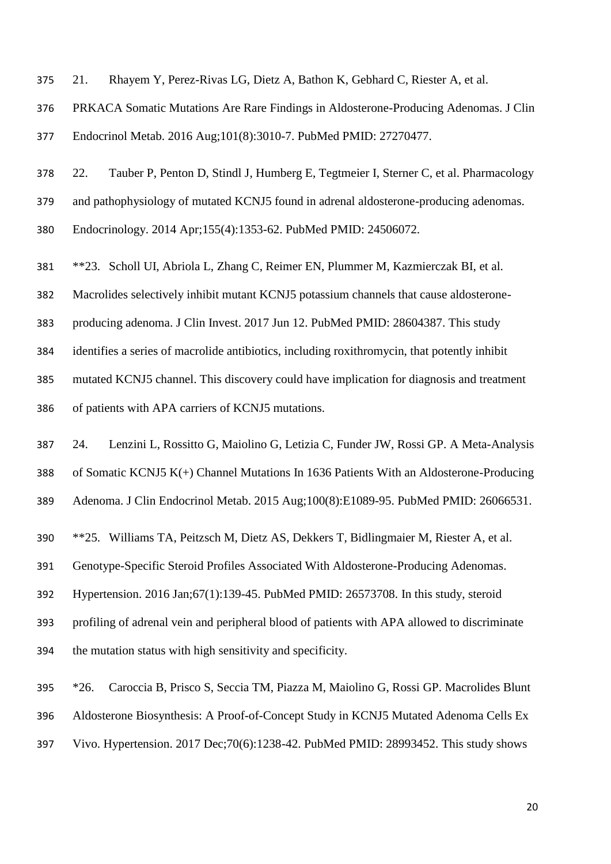<span id="page-20-0"></span>21. Rhayem Y, Perez-Rivas LG, Dietz A, Bathon K, Gebhard C, Riester A, et al.

PRKACA Somatic Mutations Are Rare Findings in Aldosterone-Producing Adenomas. J Clin

Endocrinol Metab. 2016 Aug;101(8):3010-7. PubMed PMID: 27270477.

<span id="page-20-1"></span>22. Tauber P, Penton D, Stindl J, Humberg E, Tegtmeier I, Sterner C, et al. Pharmacology

and pathophysiology of mutated KCNJ5 found in adrenal aldosterone-producing adenomas.

Endocrinology. 2014 Apr;155(4):1353-62. PubMed PMID: 24506072.

<span id="page-20-2"></span>\*\*23. Scholl UI, Abriola L, Zhang C, Reimer EN, Plummer M, Kazmierczak BI, et al.

Macrolides selectively inhibit mutant KCNJ5 potassium channels that cause aldosterone-

producing adenoma. J Clin Invest. 2017 Jun 12. PubMed PMID: 28604387. This study

identifies a series of macrolide antibiotics, including roxithromycin, that potently inhibit

mutated KCNJ5 channel. This discovery could have implication for diagnosis and treatment

of patients with APA carriers of KCNJ5 mutations.

<span id="page-20-3"></span> 24. Lenzini L, Rossitto G, Maiolino G, Letizia C, Funder JW, Rossi GP. A Meta-Analysis of Somatic KCNJ5 K(+) Channel Mutations In 1636 Patients With an Aldosterone-Producing

Adenoma. J Clin Endocrinol Metab. 2015 Aug;100(8):E1089-95. PubMed PMID: 26066531.

<span id="page-20-4"></span>\*\*25. Williams TA, Peitzsch M, Dietz AS, Dekkers T, Bidlingmaier M, Riester A, et al.

Genotype-Specific Steroid Profiles Associated With Aldosterone-Producing Adenomas.

Hypertension. 2016 Jan;67(1):139-45. PubMed PMID: 26573708. In this study, steroid

profiling of adrenal vein and peripheral blood of patients with APA allowed to discriminate

the mutation status with high sensitivity and specificity.

<span id="page-20-5"></span>\*26. Caroccia B, Prisco S, Seccia TM, Piazza M, Maiolino G, Rossi GP. Macrolides Blunt

Aldosterone Biosynthesis: A Proof-of-Concept Study in KCNJ5 Mutated Adenoma Cells Ex

Vivo. Hypertension. 2017 Dec;70(6):1238-42. PubMed PMID: 28993452. This study shows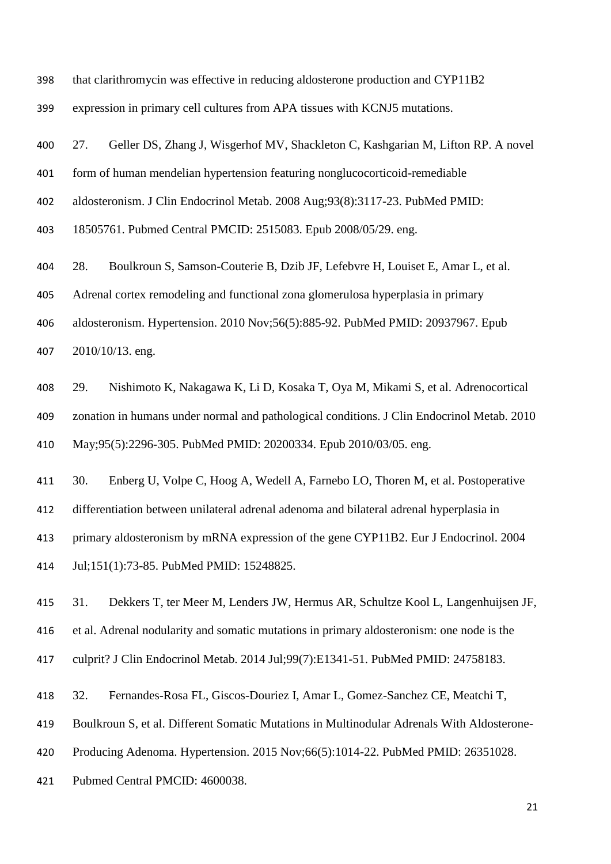that clarithromycin was effective in reducing aldosterone production and CYP11B2

expression in primary cell cultures from APA tissues with KCNJ5 mutations.

<span id="page-21-0"></span>27. Geller DS, Zhang J, Wisgerhof MV, Shackleton C, Kashgarian M, Lifton RP. A novel

form of human mendelian hypertension featuring nonglucocorticoid-remediable

aldosteronism. J Clin Endocrinol Metab. 2008 Aug;93(8):3117-23. PubMed PMID:

18505761. Pubmed Central PMCID: 2515083. Epub 2008/05/29. eng.

<span id="page-21-1"></span>28. Boulkroun S, Samson-Couterie B, Dzib JF, Lefebvre H, Louiset E, Amar L, et al.

Adrenal cortex remodeling and functional zona glomerulosa hyperplasia in primary

 aldosteronism. Hypertension. 2010 Nov;56(5):885-92. PubMed PMID: 20937967. Epub 2010/10/13. eng.

<span id="page-21-2"></span> 29. Nishimoto K, Nakagawa K, Li D, Kosaka T, Oya M, Mikami S, et al. Adrenocortical zonation in humans under normal and pathological conditions. J Clin Endocrinol Metab. 2010 May;95(5):2296-305. PubMed PMID: 20200334. Epub 2010/03/05. eng.

<span id="page-21-3"></span>30. Enberg U, Volpe C, Hoog A, Wedell A, Farnebo LO, Thoren M, et al. Postoperative

differentiation between unilateral adrenal adenoma and bilateral adrenal hyperplasia in

primary aldosteronism by mRNA expression of the gene CYP11B2. Eur J Endocrinol. 2004

Jul;151(1):73-85. PubMed PMID: 15248825.

<span id="page-21-4"></span> 31. Dekkers T, ter Meer M, Lenders JW, Hermus AR, Schultze Kool L, Langenhuijsen JF, et al. Adrenal nodularity and somatic mutations in primary aldosteronism: one node is the

culprit? J Clin Endocrinol Metab. 2014 Jul;99(7):E1341-51. PubMed PMID: 24758183.

<span id="page-21-5"></span>32. Fernandes-Rosa FL, Giscos-Douriez I, Amar L, Gomez-Sanchez CE, Meatchi T,

Boulkroun S, et al. Different Somatic Mutations in Multinodular Adrenals With Aldosterone-

Producing Adenoma. Hypertension. 2015 Nov;66(5):1014-22. PubMed PMID: 26351028.

Pubmed Central PMCID: 4600038.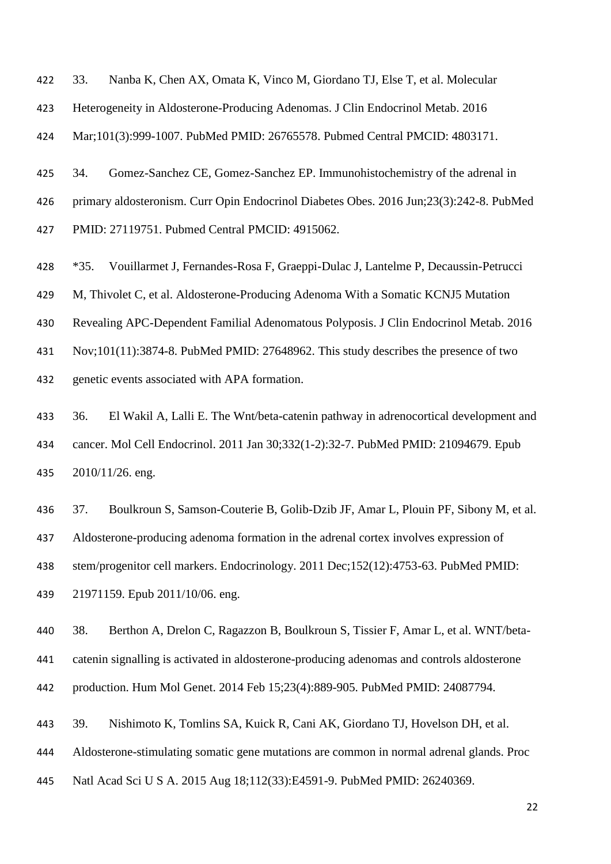<span id="page-22-0"></span>33. Nanba K, Chen AX, Omata K, Vinco M, Giordano TJ, Else T, et al. Molecular

Heterogeneity in Aldosterone-Producing Adenomas. J Clin Endocrinol Metab. 2016

Mar;101(3):999-1007. PubMed PMID: 26765578. Pubmed Central PMCID: 4803171.

<span id="page-22-1"></span> 34. Gomez-Sanchez CE, Gomez-Sanchez EP. Immunohistochemistry of the adrenal in primary aldosteronism. Curr Opin Endocrinol Diabetes Obes. 2016 Jun;23(3):242-8. PubMed PMID: 27119751. Pubmed Central PMCID: 4915062.

<span id="page-22-2"></span>\*35. Vouillarmet J, Fernandes-Rosa F, Graeppi-Dulac J, Lantelme P, Decaussin-Petrucci

M, Thivolet C, et al. Aldosterone-Producing Adenoma With a Somatic KCNJ5 Mutation

Revealing APC-Dependent Familial Adenomatous Polyposis. J Clin Endocrinol Metab. 2016

Nov;101(11):3874-8. PubMed PMID: 27648962. This study describes the presence of two

genetic events associated with APA formation.

<span id="page-22-3"></span> 36. El Wakil A, Lalli E. The Wnt/beta-catenin pathway in adrenocortical development and cancer. Mol Cell Endocrinol. 2011 Jan 30;332(1-2):32-7. PubMed PMID: 21094679. Epub 2010/11/26. eng.

<span id="page-22-4"></span>37. Boulkroun S, Samson-Couterie B, Golib-Dzib JF, Amar L, Plouin PF, Sibony M, et al.

Aldosterone-producing adenoma formation in the adrenal cortex involves expression of

stem/progenitor cell markers. Endocrinology. 2011 Dec;152(12):4753-63. PubMed PMID:

21971159. Epub 2011/10/06. eng.

<span id="page-22-5"></span>38. Berthon A, Drelon C, Ragazzon B, Boulkroun S, Tissier F, Amar L, et al. WNT/beta-

catenin signalling is activated in aldosterone-producing adenomas and controls aldosterone

production. Hum Mol Genet. 2014 Feb 15;23(4):889-905. PubMed PMID: 24087794.

<span id="page-22-6"></span>39. Nishimoto K, Tomlins SA, Kuick R, Cani AK, Giordano TJ, Hovelson DH, et al.

Aldosterone-stimulating somatic gene mutations are common in normal adrenal glands. Proc

Natl Acad Sci U S A. 2015 Aug 18;112(33):E4591-9. PubMed PMID: 26240369.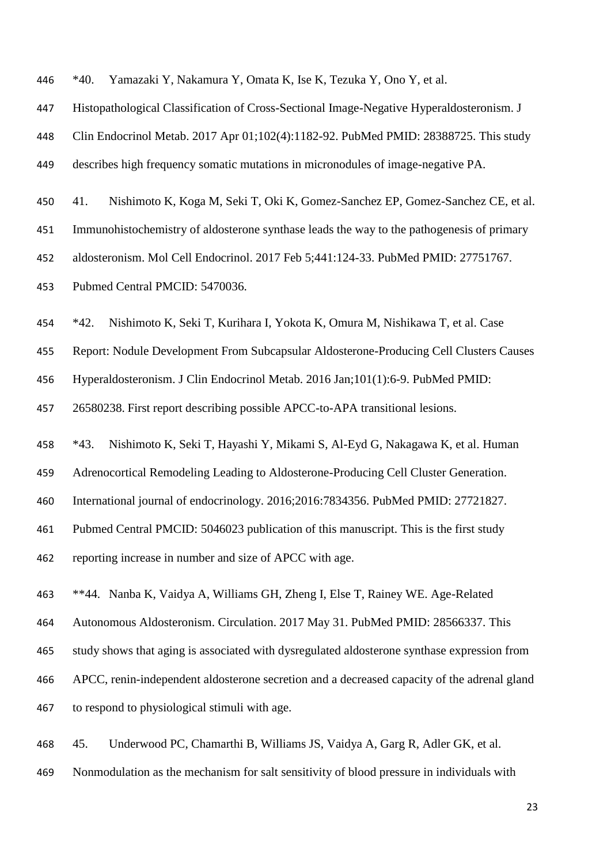<span id="page-23-0"></span>\*40. Yamazaki Y, Nakamura Y, Omata K, Ise K, Tezuka Y, Ono Y, et al.

Histopathological Classification of Cross-Sectional Image-Negative Hyperaldosteronism. J

Clin Endocrinol Metab. 2017 Apr 01;102(4):1182-92. PubMed PMID: 28388725. This study

describes high frequency somatic mutations in micronodules of image-negative PA.

<span id="page-23-1"></span>41. Nishimoto K, Koga M, Seki T, Oki K, Gomez-Sanchez EP, Gomez-Sanchez CE, et al.

Immunohistochemistry of aldosterone synthase leads the way to the pathogenesis of primary

aldosteronism. Mol Cell Endocrinol. 2017 Feb 5;441:124-33. PubMed PMID: 27751767.

Pubmed Central PMCID: 5470036.

<span id="page-23-2"></span>\*42. Nishimoto K, Seki T, Kurihara I, Yokota K, Omura M, Nishikawa T, et al. Case

Report: Nodule Development From Subcapsular Aldosterone-Producing Cell Clusters Causes

Hyperaldosteronism. J Clin Endocrinol Metab. 2016 Jan;101(1):6-9. PubMed PMID:

26580238. First report describing possible APCC-to-APA transitional lesions.

<span id="page-23-3"></span>\*43. Nishimoto K, Seki T, Hayashi Y, Mikami S, Al-Eyd G, Nakagawa K, et al. Human

Adrenocortical Remodeling Leading to Aldosterone-Producing Cell Cluster Generation.

International journal of endocrinology. 2016;2016:7834356. PubMed PMID: 27721827.

Pubmed Central PMCID: 5046023 publication of this manuscript. This is the first study

reporting increase in number and size of APCC with age.

<span id="page-23-4"></span>\*\*44. Nanba K, Vaidya A, Williams GH, Zheng I, Else T, Rainey WE. Age-Related

Autonomous Aldosteronism. Circulation. 2017 May 31. PubMed PMID: 28566337. This

study shows that aging is associated with dysregulated aldosterone synthase expression from

APCC, renin-independent aldosterone secretion and a decreased capacity of the adrenal gland

to respond to physiological stimuli with age.

<span id="page-23-5"></span>45. Underwood PC, Chamarthi B, Williams JS, Vaidya A, Garg R, Adler GK, et al.

Nonmodulation as the mechanism for salt sensitivity of blood pressure in individuals with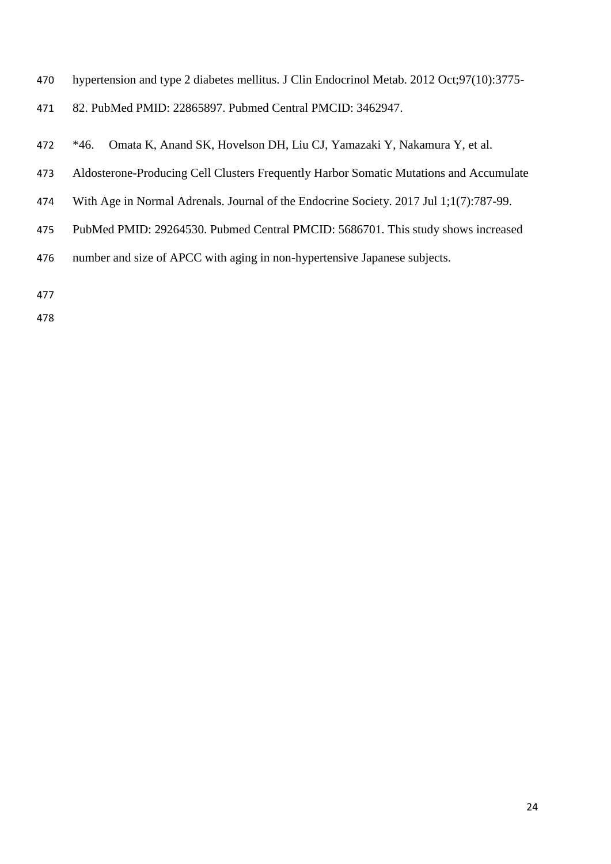- hypertension and type 2 diabetes mellitus. J Clin Endocrinol Metab. 2012 Oct;97(10):3775-
- 82. PubMed PMID: 22865897. Pubmed Central PMCID: 3462947.
- <span id="page-24-0"></span>\*46. Omata K, Anand SK, Hovelson DH, Liu CJ, Yamazaki Y, Nakamura Y, et al.
- Aldosterone-Producing Cell Clusters Frequently Harbor Somatic Mutations and Accumulate
- With Age in Normal Adrenals. Journal of the Endocrine Society. 2017 Jul 1;1(7):787-99.
- PubMed PMID: 29264530. Pubmed Central PMCID: 5686701. This study shows increased
- number and size of APCC with aging in non-hypertensive Japanese subjects.
-